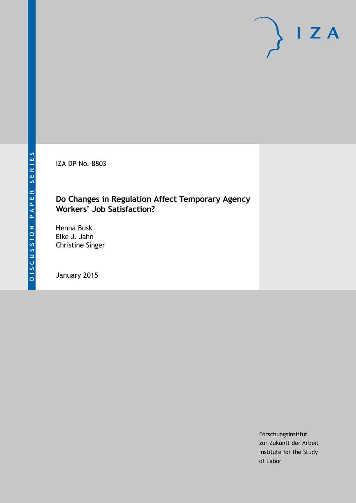IZA DP No. 8803

### **Do Changes in Regulation Affect Temporary Agency Workers' Job Satisfaction?**

Henna Busk Elke J. Jahn Christine Singer

January 2015

Forschungsinstitut zur Zukunft der Arbeit Institute for the Study of Labor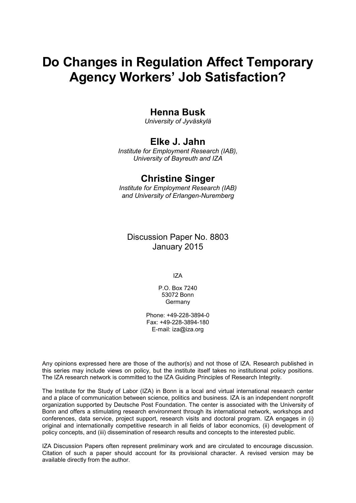# **Do Changes in Regulation Affect Temporary Agency Workers' Job Satisfaction?**

## **Henna Busk**

*University of Jyväskylä*

## **Elke J. Jahn**

*Institute for Employment Research (IAB), University of Bayreuth and IZA*

# **Christine Singer**

*Institute for Employment Research (IAB) and University of Erlangen-Nuremberg*

Discussion Paper No. 8803 January 2015

IZA

P.O. Box 7240 53072 Bonn Germany

Phone: +49-228-3894-0 Fax: +49-228-3894-180 E-mail: [iza@iza.org](mailto:iza@iza.org)

Any opinions expressed here are those of the author(s) and not those of IZA. Research published in this series may include views on policy, but the institute itself takes no institutional policy positions. The IZA research network is committed to the IZA Guiding Principles of Research Integrity.

The Institute for the Study of Labor (IZA) in Bonn is a local and virtual international research center and a place of communication between science, politics and business. IZA is an independent nonprofit organization supported by Deutsche Post Foundation. The center is associated with the University of Bonn and offers a stimulating research environment through its international network, workshops and conferences, data service, project support, research visits and doctoral program. IZA engages in (i) original and internationally competitive research in all fields of labor economics, (ii) development of policy concepts, and (iii) dissemination of research results and concepts to the interested public.

IZA Discussion Papers often represent preliminary work and are circulated to encourage discussion. Citation of such a paper should account for its provisional character. A revised version may be available directly from the author.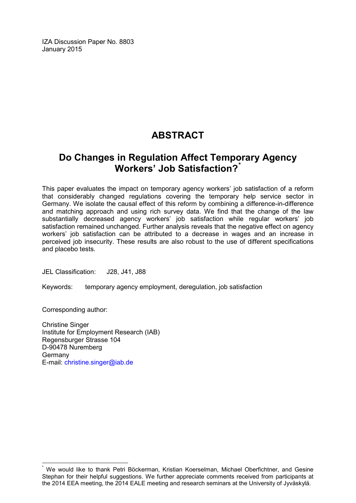IZA Discussion Paper No. 8803 January 2015

# **ABSTRACT**

# **Do Changes in Regulation Affect Temporary Agency Workers' Job Satisfaction?[\\*](#page-2-0)**

This paper evaluates the impact on temporary agency workers' job satisfaction of a reform that considerably changed regulations covering the temporary help service sector in Germany. We isolate the causal effect of this reform by combining a difference-in-difference and matching approach and using rich survey data. We find that the change of the law substantially decreased agency workers' job satisfaction while regular workers' job satisfaction remained unchanged. Further analysis reveals that the negative effect on agency workers' job satisfaction can be attributed to a decrease in wages and an increase in perceived job insecurity. These results are also robust to the use of different specifications and placebo tests.

JEL Classification: J28, J41, J88

Keywords: temporary agency employment, deregulation, job satisfaction

Corresponding author:

Christine Singer Institute for Employment Research (IAB) Regensburger Strasse 104 D-90478 Nuremberg Germany E-mail: [christine.singer@iab.de](mailto:christine.singer@iab.de)

<span id="page-2-0"></span>We would like to thank Petri Böckerman, Kristian Koerselman, Michael Oberfichtner, and Gesine Stephan for their helpful suggestions. We further appreciate comments received from participants at the 2014 EEA meeting, the 2014 EALE meeting and research seminars at the University of Jyväskylä.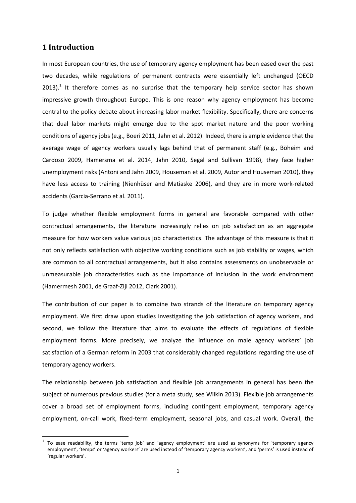#### **1 Introduction**

1

In most European countries, the use of temporary agency employment has been eased over the past two decades, while regulations of permanent contracts were essentially left unchanged (OECD 2013).<sup>1</sup> It therefore comes as no surprise that the temporary help service sector has shown impressive growth throughout Europe. This is one reason why agency employment has become central to the policy debate about increasing labor market flexibility. Specifically, there are concerns that dual labor markets might emerge due to the spot market nature and the poor working conditions of agency jobs (e.g., Boeri 2011, Jahn et al. 2012). Indeed, there is ample evidence that the average wage of agency workers usually lags behind that of permanent staff (e.g., Böheim and Cardoso 2009, Hamersma et al. 2014, Jahn 2010, Segal and Sullivan 1998), they face higher unemployment risks (Antoni and Jahn 2009, Houseman et al. 2009, Autor and Houseman 2010), they have less access to training (Nienhüser and Matiaske 2006), and they are in more work-related accidents (Garcia-Serrano et al. 2011).

To judge whether flexible employment forms in general are favorable compared with other contractual arrangements, the literature increasingly relies on job satisfaction as an aggregate measure for how workers value various job characteristics. The advantage of this measure is that it not only reflects satisfaction with objective working conditions such as job stability or wages, which are common to all contractual arrangements, but it also contains assessments on unobservable or unmeasurable job characteristics such as the importance of inclusion in the work environment (Hamermesh 2001, de Graaf-Zijl 2012, Clark 2001).

The contribution of our paper is to combine two strands of the literature on temporary agency employment. We first draw upon studies investigating the job satisfaction of agency workers, and second, we follow the literature that aims to evaluate the effects of regulations of flexible employment forms. More precisely, we analyze the influence on male agency workers' job satisfaction of a German reform in 2003 that considerably changed regulations regarding the use of temporary agency workers.

The relationship between job satisfaction and flexible job arrangements in general has been the subject of numerous previous studies (for a meta study, see Wilkin 2013). Flexible job arrangements cover a broad set of employment forms, including contingent employment, temporary agency employment, on-call work, fixed-term employment, seasonal jobs, and casual work. Overall, the

 $1$  To ease readability, the terms 'temp job' and 'agency employment' are used as synonyms for 'temporary agency employment', 'temps' or 'agency workers' are used instead of 'temporary agency workers', and 'perms' is used instead of 'regular workers'.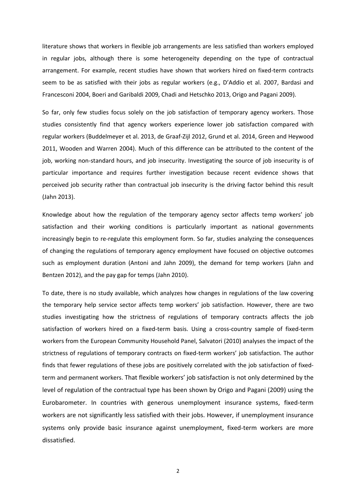literature shows that workers in flexible job arrangements are less satisfied than workers employed in regular jobs, although there is some heterogeneity depending on the type of contractual arrangement. For example, recent studies have shown that workers hired on fixed-term contracts seem to be as satisfied with their jobs as regular workers (e.g., D'Addio et al. 2007, Bardasi and Francesconi 2004, Boeri and Garibaldi 2009, Chadi and Hetschko 2013, Origo and Pagani 2009).

So far, only few studies focus solely on the job satisfaction of temporary agency workers. Those studies consistently find that agency workers experience lower job satisfaction compared with regular workers (Buddelmeyer et al. 2013, de Graaf-Zijl 2012, Grund et al. 2014, Green and Heywood 2011, Wooden and Warren 2004). Much of this difference can be attributed to the content of the job, working non-standard hours, and job insecurity. Investigating the source of job insecurity is of particular importance and requires further investigation because recent evidence shows that perceived job security rather than contractual job insecurity is the driving factor behind this result (Jahn 2013).

Knowledge about how the regulation of the temporary agency sector affects temp workers' job satisfaction and their working conditions is particularly important as national governments increasingly begin to re-regulate this employment form. So far, studies analyzing the consequences of changing the regulations of temporary agency employment have focused on objective outcomes such as employment duration (Antoni and Jahn 2009), the demand for temp workers (Jahn and Bentzen 2012), and the pay gap for temps (Jahn 2010).

To date, there is no study available, which analyzes how changes in regulations of the law covering the temporary help service sector affects temp workers' job satisfaction. However, there are two studies investigating how the strictness of regulations of temporary contracts affects the job satisfaction of workers hired on a fixed-term basis. Using a cross-country sample of fixed-term workers from the European Community Household Panel, Salvatori (2010) analyses the impact of the strictness of regulations of temporary contracts on fixed-term workers' job satisfaction. The author finds that fewer regulations of these jobs are positively correlated with the job satisfaction of fixedterm and permanent workers. That flexible workers' job satisfaction is not only determined by the level of regulation of the contractual type has been shown by Origo and Pagani (2009) using the Eurobarometer. In countries with generous unemployment insurance systems, fixed-term workers are not significantly less satisfied with their jobs. However, if unemployment insurance systems only provide basic insurance against unemployment, fixed-term workers are more dissatisfied.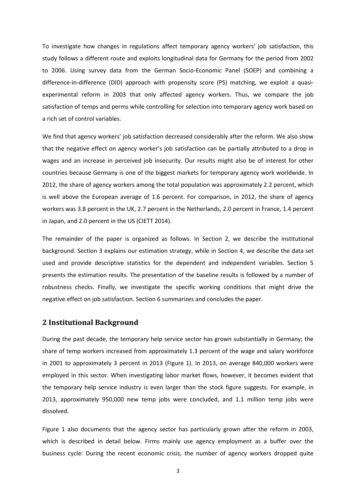To investigate how changes in regulations affect temporary agency workers' job satisfaction, this study follows a different route and exploits longitudinal data for Germany for the period from 2002 to 2006. Using survey data from the German Socio-Economic Panel (SOEP) and combining a difference-in-difference (DID) approach with propensity score (PS) matching, we exploit a quasiexperimental reform in 2003 that only affected agency workers. Thus, we compare the job satisfaction of temps and perms while controlling for selection into temporary agency work based on a rich set of control variables.

We find that agency workers' job satisfaction decreased considerably after the reform. We also show that the negative effect on agency worker's job satisfaction can be partially attributed to a drop in wages and an increase in perceived job insecurity. Our results might also be of interest for other countries because Germany is one of the biggest markets for temporary agency work worldwide. In 2012, the share of agency workers among the total population was approximately 2.2 percent, which is well above the European average of 1.6 percent. For comparison, in 2012, the share of agency workers was 3.8 percent in the UK, 2.7 percent in the Netherlands, 2.0 percent in France, 1.4 percent in Japan, and 2.0 percent in the US (CIETT 2014).

The remainder of the paper is organized as follows. In Section 2, we describe the institutional background. Section 3 explains our estimation strategy, while in Section 4, we describe the data set used and provide descriptive statistics for the dependent and independent variables. Section 5 presents the estimation results. The presentation of the baseline results is followed by a number of robustness checks. Finally, we investigate the specific working conditions that might drive the negative effect on job satisfaction. Section 6 summarizes and concludes the paper.

#### **2 Institutional Background**

During the past decade, the temporary help service sector has grown substantially in Germany; the share of temp workers increased from approximately 1.3 percent of the wage and salary workforce in 2001 to approximately 3 percent in 2013 (Figure 1). In 2013, on average 840,000 workers were employed in this sector. When investigating labor market flows, however, it becomes evident that the temporary help service industry is even larger than the stock figure suggests. For example, in 2013, approximately 950,000 new temp jobs were concluded, and 1.1 million temp jobs were dissolved.

Figure 1 also documents that the agency sector has particularly grown after the reform in 2003, which is described in detail below. Firms mainly use agency employment as a buffer over the business cycle: During the recent economic crisis, the number of agency workers dropped quite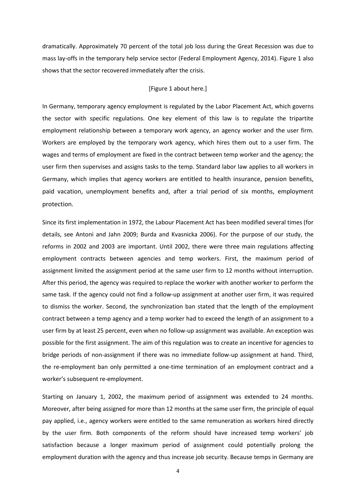dramatically. Approximately 70 percent of the total job loss during the Great Recession was due to mass lay-offs in the temporary help service sector (Federal Employment Agency, 2014). Figure 1 also shows that the sector recovered immediately after the crisis.

#### [Figure 1 about here.]

In Germany, temporary agency employment is regulated by the Labor Placement Act, which governs the sector with specific regulations. One key element of this law is to regulate the tripartite employment relationship between a temporary work agency, an agency worker and the user firm. Workers are employed by the temporary work agency, which hires them out to a user firm. The wages and terms of employment are fixed in the contract between temp worker and the agency; the user firm then supervises and assigns tasks to the temp. Standard labor law applies to all workers in Germany, which implies that agency workers are entitled to health insurance, pension benefits, paid vacation, unemployment benefits and, after a trial period of six months, employment protection.

Since its first implementation in 1972, the Labour Placement Act has been modified several times (for details, see Antoni and Jahn 2009; Burda and Kvasnicka 2006). For the purpose of our study, the reforms in 2002 and 2003 are important. Until 2002, there were three main regulations affecting employment contracts between agencies and temp workers. First, the maximum period of assignment limited the assignment period at the same user firm to 12 months without interruption. After this period, the agency was required to replace the worker with another worker to perform the same task. If the agency could not find a follow-up assignment at another user firm, it was required to dismiss the worker. Second, the synchronization ban stated that the length of the employment contract between a temp agency and a temp worker had to exceed the length of an assignment to a user firm by at least 25 percent, even when no follow-up assignment was available. An exception was possible for the first assignment. The aim of this regulation was to create an incentive for agencies to bridge periods of non-assignment if there was no immediate follow-up assignment at hand. Third, the re-employment ban only permitted a one-time termination of an employment contract and a worker's subsequent re-employment.

Starting on January 1, 2002, the maximum period of assignment was extended to 24 months. Moreover, after being assigned for more than 12 months at the same user firm, the principle of equal pay applied, i.e., agency workers were entitled to the same remuneration as workers hired directly by the user firm. Both components of the reform should have increased temp workers' job satisfaction because a longer maximum period of assignment could potentially prolong the employment duration with the agency and thus increase job security. Because temps in Germany are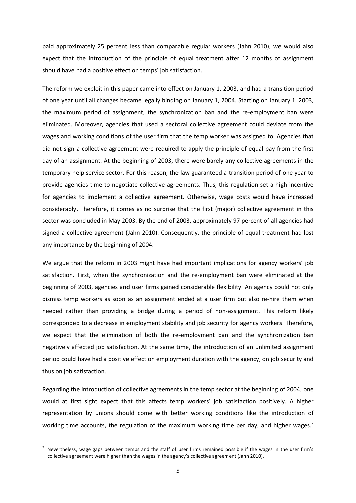paid approximately 25 percent less than comparable regular workers (Jahn 2010), we would also expect that the introduction of the principle of equal treatment after 12 months of assignment should have had a positive effect on temps' job satisfaction.

The reform we exploit in this paper came into effect on January 1, 2003, and had a transition period of one year until all changes became legally binding on January 1, 2004. Starting on January 1, 2003, the maximum period of assignment, the synchronization ban and the re-employment ban were eliminated. Moreover, agencies that used a sectoral collective agreement could deviate from the wages and working conditions of the user firm that the temp worker was assigned to. Agencies that did not sign a collective agreement were required to apply the principle of equal pay from the first day of an assignment. At the beginning of 2003, there were barely any collective agreements in the temporary help service sector. For this reason, the law guaranteed a transition period of one year to provide agencies time to negotiate collective agreements. Thus, this regulation set a high incentive for agencies to implement a collective agreement. Otherwise, wage costs would have increased considerably. Therefore, it comes as no surprise that the first (major) collective agreement in this sector was concluded in May 2003. By the end of 2003, approximately 97 percent of all agencies had signed a collective agreement (Jahn 2010). Consequently, the principle of equal treatment had lost any importance by the beginning of 2004.

We argue that the reform in 2003 might have had important implications for agency workers' job satisfaction. First, when the synchronization and the re-employment ban were eliminated at the beginning of 2003, agencies and user firms gained considerable flexibility. An agency could not only dismiss temp workers as soon as an assignment ended at a user firm but also re-hire them when needed rather than providing a bridge during a period of non-assignment. This reform likely corresponded to a decrease in employment stability and job security for agency workers. Therefore, we expect that the elimination of both the re-employment ban and the synchronization ban negatively affected job satisfaction. At the same time, the introduction of an unlimited assignment period could have had a positive effect on employment duration with the agency, on job security and thus on job satisfaction.

Regarding the introduction of collective agreements in the temp sector at the beginning of 2004, one would at first sight expect that this affects temp workers' job satisfaction positively. A higher representation by unions should come with better working conditions like the introduction of working time accounts, the regulation of the maximum working time per day, and higher wages.<sup>2</sup>

<sup>2</sup> Nevertheless, wage gaps between temps and the staff of user firms remained possible if the wages in the user firm's collective agreement were higher than the wages in the agency's collective agreement (Jahn 2010).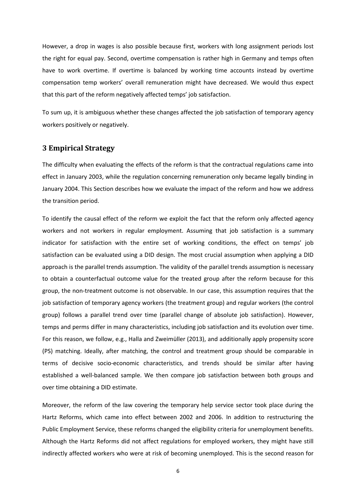However, a drop in wages is also possible because first, workers with long assignment periods lost the right for equal pay. Second, overtime compensation is rather high in Germany and temps often have to work overtime. If overtime is balanced by working time accounts instead by overtime compensation temp workers' overall remuneration might have decreased. We would thus expect that this part of the reform negatively affected temps' job satisfaction.

To sum up, it is ambiguous whether these changes affected the job satisfaction of temporary agency workers positively or negatively.

#### **3 Empirical Strategy**

The difficulty when evaluating the effects of the reform is that the contractual regulations came into effect in January 2003, while the regulation concerning remuneration only became legally binding in January 2004. This Section describes how we evaluate the impact of the reform and how we address the transition period.

To identify the causal effect of the reform we exploit the fact that the reform only affected agency workers and not workers in regular employment. Assuming that job satisfaction is a summary indicator for satisfaction with the entire set of working conditions, the effect on temps' job satisfaction can be evaluated using a DID design. The most crucial assumption when applying a DID approach is the parallel trends assumption. The validity of the parallel trends assumption is necessary to obtain a counterfactual outcome value for the treated group after the reform because for this group, the non-treatment outcome is not observable. In our case, this assumption requires that the job satisfaction of temporary agency workers (the treatment group) and regular workers (the control group) follows a parallel trend over time (parallel change of absolute job satisfaction). However, temps and perms differ in many characteristics, including job satisfaction and its evolution over time. For this reason, we follow, e.g., Halla and Zweimüller (2013), and additionally apply propensity score (PS) matching. Ideally, after matching, the control and treatment group should be comparable in terms of decisive socio-economic characteristics, and trends should be similar after having established a well-balanced sample. We then compare job satisfaction between both groups and over time obtaining a DID estimate.

Moreover, the reform of the law covering the temporary help service sector took place during the Hartz Reforms, which came into effect between 2002 and 2006. In addition to restructuring the Public Employment Service, these reforms changed the eligibility criteria for unemployment benefits. Although the Hartz Reforms did not affect regulations for employed workers, they might have still indirectly affected workers who were at risk of becoming unemployed. This is the second reason for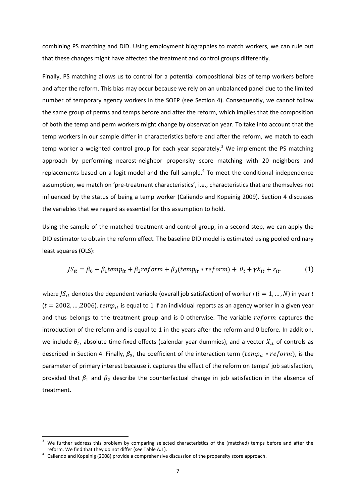combining PS matching and DID. Using employment biographies to match workers, we can rule out that these changes might have affected the treatment and control groups differently.

Finally, PS matching allows us to control for a potential compositional bias of temp workers before and after the reform. This bias may occur because we rely on an unbalanced panel due to the limited number of temporary agency workers in the SOEP (see Section 4). Consequently, we cannot follow the same group of perms and temps before and after the reform, which implies that the composition of both the temp and perm workers might change by observation year. To take into account that the temp workers in our sample differ in characteristics before and after the reform, we match to each temp worker a weighted control group for each year separately.<sup>3</sup> We implement the PS matching approach by performing nearest-neighbor propensity score matching with 20 neighbors and replacements based on a logit model and the full sample. $<sup>4</sup>$  To meet the conditional independence</sup> assumption, we match on 'pre-treatment characteristics', i.e., characteristics that are themselves not influenced by the status of being a temp worker (Caliendo and Kopeinig 2009). Section 4 discusses the variables that we regard as essential for this assumption to hold.

Using the sample of the matched treatment and control group, in a second step, we can apply the DID estimator to obtain the reform effect. The baseline DID model is estimated using pooled ordinary least squares (OLS):

$$
JS_{it} = \beta_0 + \beta_1 temp_{it} + \beta_2 reform + \beta_3 (temp_{it} * reform) + \theta_t + \gamma X_{it} + \varepsilon_{it}.
$$
 (1)

where  $JS_{it}$  denotes the dependent variable (overall job satisfaction) of worker *i* ( $i = 1, ..., N$ ) in year *t*  $(t = 2002, \ldots, 2006)$ .  $temp_{it}$  is equal to 1 if an individual reports as an agency worker in a given year and thus belongs to the treatment group and is 0 otherwise. The variable  $reform$  captures the introduction of the reform and is equal to 1 in the years after the reform and 0 before. In addition, we include  $\theta_t$ , absolute time-fixed effects (calendar year dummies), and a vector  $X_{it}$  of controls as described in Section 4. Finally,  $\beta_3$ , the coefficient of the interaction term ( $temp_{it} * reform$ ), is the parameter of primary interest because it captures the effect of the reform on temps' job satisfaction, provided that  $\beta_1$  and  $\beta_2$  describe the counterfactual change in job satisfaction in the absence of treatment.

We further address this problem by comparing selected characteristics of the (matched) temps before and after the reform. We find that they do not differ (see Table A.1).

 $4$  Caliendo and Kopeinig (2008) provide a comprehensive discussion of the propensity score approach.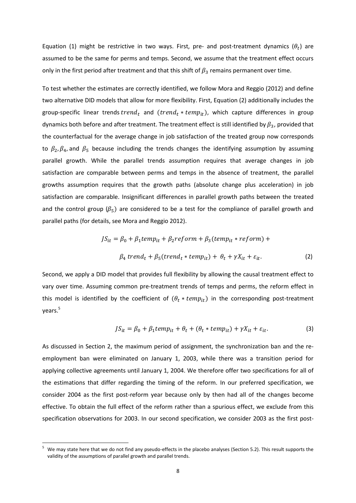Equation (1) might be restrictive in two ways. First, pre- and post-treatment dynamics  $(\theta_t)$  are assumed to be the same for perms and temps. Second, we assume that the treatment effect occurs only in the first period after treatment and that this shift of  $\beta_3$  remains permanent over time.

To test whether the estimates are correctly identified, we follow Mora and Reggio (2012) and define two alternative DID models that allow for more flexibility. First, Equation (2) additionally includes the group-specific linear trends trend<sub>t</sub> and (trend<sub>t</sub> \* temp<sub>it</sub>), which capture differences in group dynamics both before and after treatment. The treatment effect is still identified by  $\beta_3$ , provided that the counterfactual for the average change in job satisfaction of the treated group now corresponds to  $\beta_2$ ,  $\beta_4$ , and  $\beta_5$  because including the trends changes the identifying assumption by assuming parallel growth. While the parallel trends assumption requires that average changes in job satisfaction are comparable between perms and temps in the absence of treatment, the parallel growths assumption requires that the growth paths (absolute change plus acceleration) in job satisfaction are comparable. Insignificant differences in parallel growth paths between the treated and the control group ( $\beta$ <sub>5</sub>) are considered to be a test for the compliance of parallel growth and parallel paths (for details, see Mora and Reggio 2012).

$$
JS_{it} = \beta_0 + \beta_1 temp_{it} + \beta_2 reform + \beta_3 (temp_{it} * reform) +
$$
  

$$
\beta_4 trend_t + \beta_5 (trend_t * temp_{it}) + \theta_t + \gamma X_{it} + \varepsilon_{it}.
$$
 (2)

Second, we apply a DID model that provides full flexibility by allowing the causal treatment effect to vary over time. Assuming common pre-treatment trends of temps and perms, the reform effect in this model is identified by the coefficient of  $(\theta_t * temp_{it})$  in the corresponding post-treatment years. 5

$$
JS_{it} = \beta_0 + \beta_1 temp_{it} + \theta_t + (\theta_t * temp_{it}) + \gamma X_{it} + \varepsilon_{it}.
$$
 (3)

As discussed in Section 2, the maximum period of assignment, the synchronization ban and the reemployment ban were eliminated on January 1, 2003, while there was a transition period for applying collective agreements until January 1, 2004. We therefore offer two specifications for all of the estimations that differ regarding the timing of the reform. In our preferred specification, we consider 2004 as the first post-reform year because only by then had all of the changes become effective. To obtain the full effect of the reform rather than a spurious effect, we exclude from this specification observations for 2003. In our second specification, we consider 2003 as the first post-

<sup>5</sup> We may state here that we do not find any pseudo-effects in the placebo analyses (Section 5.2). This result supports the validity of the assumptions of parallel growth and parallel trends.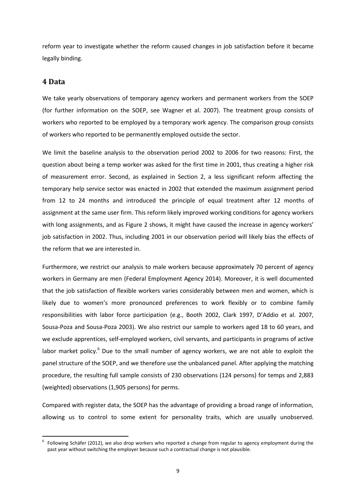reform year to investigate whether the reform caused changes in job satisfaction before it became legally binding.

#### **4 Data**

1

We take yearly observations of temporary agency workers and permanent workers from the SOEP (for further information on the SOEP, see Wagner et al. 2007). The treatment group consists of workers who reported to be employed by a temporary work agency. The comparison group consists of workers who reported to be permanently employed outside the sector.

We limit the baseline analysis to the observation period 2002 to 2006 for two reasons: First, the question about being a temp worker was asked for the first time in 2001, thus creating a higher risk of measurement error. Second, as explained in Section 2, a less significant reform affecting the temporary help service sector was enacted in 2002 that extended the maximum assignment period from 12 to 24 months and introduced the principle of equal treatment after 12 months of assignment at the same user firm. This reform likely improved working conditions for agency workers with long assignments, and as Figure 2 shows, it might have caused the increase in agency workers' job satisfaction in 2002. Thus, including 2001 in our observation period will likely bias the effects of the reform that we are interested in.

Furthermore, we restrict our analysis to male workers because approximately 70 percent of agency workers in Germany are men (Federal Employment Agency 2014). Moreover, it is well documented that the job satisfaction of flexible workers varies considerably between men and women, which is likely due to women's more pronounced preferences to work flexibly or to combine family responsibilities with labor force participation (e.g., Booth 2002, Clark 1997, D'Addio et al. 2007, Sousa-Poza and Sousa-Poza 2003). We also restrict our sample to workers aged 18 to 60 years, and we exclude apprentices, self-employed workers, civil servants, and participants in programs of active labor market policy.<sup>6</sup> Due to the small number of agency workers, we are not able to exploit the panel structure of the SOEP, and we therefore use the unbalanced panel. After applying the matching procedure, the resulting full sample consists of 230 observations (124 persons) for temps and 2,883 (weighted) observations (1,905 persons) for perms.

Compared with register data, the SOEP has the advantage of providing a broad range of information, allowing us to control to some extent for personality traits, which are usually unobserved.

<sup>&</sup>lt;sup>6</sup> Following Schäfer (2012), we also drop workers who reported a change from regular to agency employment during the past year without switching the employer because such a contractual change is not plausible.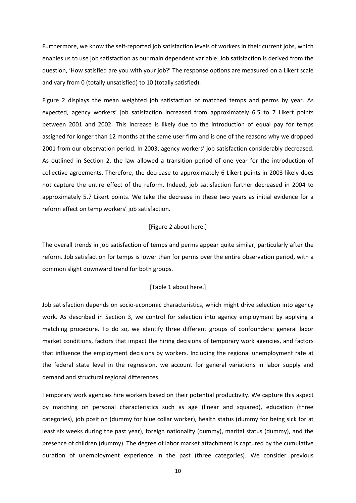Furthermore, we know the self-reported job satisfaction levels of workers in their current jobs, which enables us to use job satisfaction as our main dependent variable. Job satisfaction is derived from the question, 'How satisfied are you with your job?' The response options are measured on a Likert scale and vary from 0 (totally unsatisfied) to 10 (totally satisfied).

Figure 2 displays the mean weighted job satisfaction of matched temps and perms by year. As expected, agency workers' job satisfaction increased from approximately 6.5 to 7 Likert points between 2001 and 2002. This increase is likely due to the introduction of equal pay for temps assigned for longer than 12 months at the same user firm and is one of the reasons why we dropped 2001 from our observation period. In 2003, agency workers' job satisfaction considerably decreased. As outlined in Section 2, the law allowed a transition period of one year for the introduction of collective agreements. Therefore, the decrease to approximately 6 Likert points in 2003 likely does not capture the entire effect of the reform. Indeed, job satisfaction further decreased in 2004 to approximately 5.7 Likert points. We take the decrease in these two years as initial evidence for a reform effect on temp workers' job satisfaction.

#### [Figure 2 about here.]

The overall trends in job satisfaction of temps and perms appear quite similar, particularly after the reform. Job satisfaction for temps is lower than for perms over the entire observation period, with a common slight downward trend for both groups.

#### [Table 1 about here.]

Job satisfaction depends on socio-economic characteristics, which might drive selection into agency work. As described in Section 3, we control for selection into agency employment by applying a matching procedure. To do so, we identify three different groups of confounders: general labor market conditions, factors that impact the hiring decisions of temporary work agencies, and factors that influence the employment decisions by workers. Including the regional unemployment rate at the federal state level in the regression, we account for general variations in labor supply and demand and structural regional differences.

Temporary work agencies hire workers based on their potential productivity. We capture this aspect by matching on personal characteristics such as age (linear and squared), education (three categories), job position (dummy for blue collar worker), health status (dummy for being sick for at least six weeks during the past year), foreign nationality (dummy), marital status (dummy), and the presence of children (dummy). The degree of labor market attachment is captured by the cumulative duration of unemployment experience in the past (three categories). We consider previous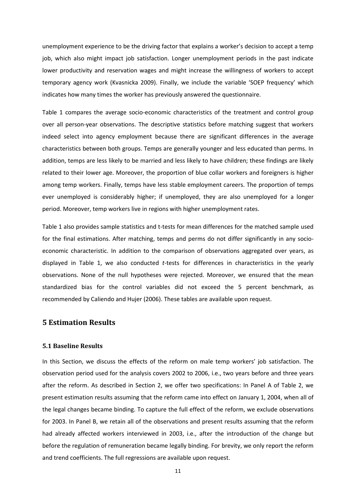unemployment experience to be the driving factor that explains a worker's decision to accept a temp job, which also might impact job satisfaction. Longer unemployment periods in the past indicate lower productivity and reservation wages and might increase the willingness of workers to accept temporary agency work (Kvasnicka 2009). Finally, we include the variable 'SOEP frequency' which indicates how many times the worker has previously answered the questionnaire.

Table 1 compares the average socio-economic characteristics of the treatment and control group over all person-year observations. The descriptive statistics before matching suggest that workers indeed select into agency employment because there are significant differences in the average characteristics between both groups. Temps are generally younger and less educated than perms. In addition, temps are less likely to be married and less likely to have children; these findings are likely related to their lower age. Moreover, the proportion of blue collar workers and foreigners is higher among temp workers. Finally, temps have less stable employment careers. The proportion of temps ever unemployed is considerably higher; if unemployed, they are also unemployed for a longer period. Moreover, temp workers live in regions with higher unemployment rates.

Table 1 also provides sample statistics and t-tests for mean differences for the matched sample used for the final estimations. After matching, temps and perms do not differ significantly in any socioeconomic characteristic. In addition to the comparison of observations aggregated over years, as displayed in Table 1, we also conducted *t*-tests for differences in characteristics in the yearly observations. None of the null hypotheses were rejected. Moreover, we ensured that the mean standardized bias for the control variables did not exceed the 5 percent benchmark, as recommended by Caliendo and Hujer (2006). These tables are available upon request.

#### **5 Estimation Results**

#### **5.1 Baseline Results**

In this Section, we discuss the effects of the reform on male temp workers' job satisfaction. The observation period used for the analysis covers 2002 to 2006, i.e., two years before and three years after the reform. As described in Section 2, we offer two specifications: In Panel A of Table 2, we present estimation results assuming that the reform came into effect on January 1, 2004, when all of the legal changes became binding. To capture the full effect of the reform, we exclude observations for 2003. In Panel B, we retain all of the observations and present results assuming that the reform had already affected workers interviewed in 2003, i.e., after the introduction of the change but before the regulation of remuneration became legally binding. For brevity, we only report the reform and trend coefficients. The full regressions are available upon request.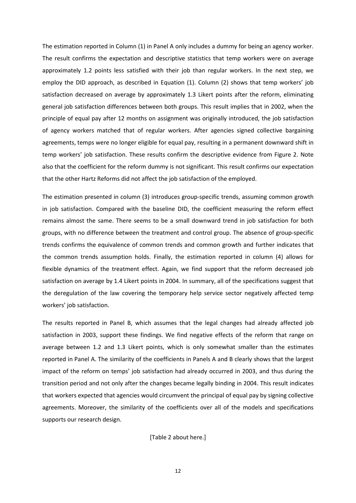The estimation reported in Column (1) in Panel A only includes a dummy for being an agency worker. The result confirms the expectation and descriptive statistics that temp workers were on average approximately 1.2 points less satisfied with their job than regular workers. In the next step, we employ the DID approach, as described in Equation (1). Column (2) shows that temp workers' job satisfaction decreased on average by approximately 1.3 Likert points after the reform, eliminating general job satisfaction differences between both groups. This result implies that in 2002, when the principle of equal pay after 12 months on assignment was originally introduced, the job satisfaction of agency workers matched that of regular workers. After agencies signed collective bargaining agreements, temps were no longer eligible for equal pay, resulting in a permanent downward shift in temp workers' job satisfaction. These results confirm the descriptive evidence from Figure 2. Note also that the coefficient for the reform dummy is not significant. This result confirms our expectation that the other Hartz Reforms did not affect the job satisfaction of the employed.

The estimation presented in column (3) introduces group-specific trends, assuming common growth in job satisfaction. Compared with the baseline DID, the coefficient measuring the reform effect remains almost the same. There seems to be a small downward trend in job satisfaction for both groups, with no difference between the treatment and control group. The absence of group-specific trends confirms the equivalence of common trends and common growth and further indicates that the common trends assumption holds. Finally, the estimation reported in column (4) allows for flexible dynamics of the treatment effect. Again, we find support that the reform decreased job satisfaction on average by 1.4 Likert points in 2004. In summary, all of the specifications suggest that the deregulation of the law covering the temporary help service sector negatively affected temp workers' job satisfaction.

The results reported in Panel B, which assumes that the legal changes had already affected job satisfaction in 2003, support these findings. We find negative effects of the reform that range on average between 1.2 and 1.3 Likert points, which is only somewhat smaller than the estimates reported in Panel A. The similarity of the coefficients in Panels A and B clearly shows that the largest impact of the reform on temps' job satisfaction had already occurred in 2003, and thus during the transition period and not only after the changes became legally binding in 2004. This result indicates that workers expected that agencies would circumvent the principal of equal pay by signing collective agreements. Moreover, the similarity of the coefficients over all of the models and specifications supports our research design.

[Table 2 about here.]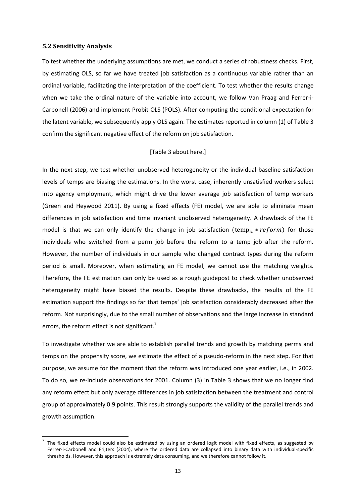#### **5.2 Sensitivity Analysis**

1

To test whether the underlying assumptions are met, we conduct a series of robustness checks. First, by estimating OLS, so far we have treated job satisfaction as a continuous variable rather than an ordinal variable, facilitating the interpretation of the coefficient. To test whether the results change when we take the ordinal nature of the variable into account, we follow Van Praag and Ferrer-i-Carbonell (2006) and implement Probit OLS (POLS). After computing the conditional expectation for the latent variable, we subsequently apply OLS again. The estimates reported in column (1) of Table 3 confirm the significant negative effect of the reform on job satisfaction.

#### [Table 3 about here.]

In the next step, we test whether unobserved heterogeneity or the individual baseline satisfaction levels of temps are biasing the estimations. In the worst case, inherently unsatisfied workers select into agency employment, which might drive the lower average job satisfaction of temp workers (Green and Heywood 2011). By using a fixed effects (FE) model, we are able to eliminate mean differences in job satisfaction and time invariant unobserved heterogeneity. A drawback of the FE model is that we can only identify the change in job satisfaction (temp<sub>it</sub> \*  $reform$ ) for those individuals who switched from a perm job before the reform to a temp job after the reform. However, the number of individuals in our sample who changed contract types during the reform period is small. Moreover, when estimating an FE model, we cannot use the matching weights. Therefore, the FE estimation can only be used as a rough guidepost to check whether unobserved heterogeneity might have biased the results. Despite these drawbacks, the results of the FE estimation support the findings so far that temps' job satisfaction considerably decreased after the reform. Not surprisingly, due to the small number of observations and the large increase in standard errors, the reform effect is not significant.<sup>7</sup>

To investigate whether we are able to establish parallel trends and growth by matching perms and temps on the propensity score, we estimate the effect of a pseudo-reform in the next step. For that purpose, we assume for the moment that the reform was introduced one year earlier, i.e., in 2002. To do so, we re-include observations for 2001. Column (3) in Table 3 shows that we no longer find any reform effect but only average differences in job satisfaction between the treatment and control group of approximately 0.9 points. This result strongly supports the validity of the parallel trends and growth assumption.

<sup>7</sup> The fixed effects model could also be estimated by using an ordered logit model with fixed effects, as suggested by Ferrer-i-Carbonell and Frijters (2004), where the ordered data are collapsed into binary data with individual-specific thresholds. However, this approach is extremely data consuming, and we therefore cannot follow it.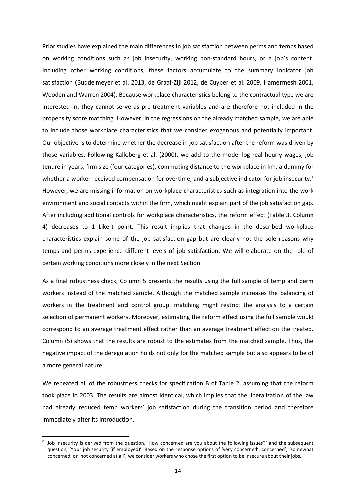Prior studies have explained the main differences in job satisfaction between perms and temps based on working conditions such as job insecurity, working non-standard hours, or a job's content. Including other working conditions, these factors accumulate to the summary indicator job satisfaction (Buddelmeyer et al. 2013, de Graaf-Zijl 2012, de Cuyper et al. 2009, Hamermesh 2001, Wooden and Warren 2004). Because workplace characteristics belong to the contractual type we are interested in, they cannot serve as pre-treatment variables and are therefore not included in the propensity score matching. However, in the regressions on the already matched sample, we are able to include those workplace characteristics that we consider exogenous and potentially important. Our objective is to determine whether the decrease in job satisfaction after the reform was driven by those variables. Following Kalleberg et al. (2000), we add to the model log real hourly wages, job tenure in years, firm size (four categories), commuting distance to the workplace in km, a dummy for whether a worker received compensation for overtime, and a subjective indicator for job insecurity.<sup>8</sup> However, we are missing information on workplace characteristics such as integration into the work environment and social contacts within the firm, which might explain part of the job satisfaction gap. After including additional controls for workplace characteristics, the reform effect (Table 3, Column 4) decreases to 1 Likert point. This result implies that changes in the described workplace characteristics explain some of the job satisfaction gap but are clearly not the sole reasons why temps and perms experience different levels of job satisfaction. We will elaborate on the role of certain working conditions more closely in the next Section.

As a final robustness check, Column 5 presents the results using the full sample of temp and perm workers instead of the matched sample. Although the matched sample increases the balancing of workers in the treatment and control group, matching might restrict the analysis to a certain selection of permanent workers. Moreover, estimating the reform effect using the full sample would correspond to an average treatment effect rather than an average treatment effect on the treated. Column (5) shows that the results are robust to the estimates from the matched sample. Thus, the negative impact of the deregulation holds not only for the matched sample but also appears to be of a more general nature.

We repeated all of the robustness checks for specification B of Table 2, assuming that the reform took place in 2003. The results are almost identical, which implies that the liberalization of the law had already reduced temp workers' job satisfaction during the transition period and therefore immediately after its introduction.

<sup>8</sup> Job insecurity is derived from the question, 'How concerned are you about the following issues?' and the subsequent question, 'Your job security (if employed)'. Based on the response options of 'very concerned', concerned', 'somewhat concerned' or 'not concerned at all', we consider workers who chose the first option to be insecure about their jobs.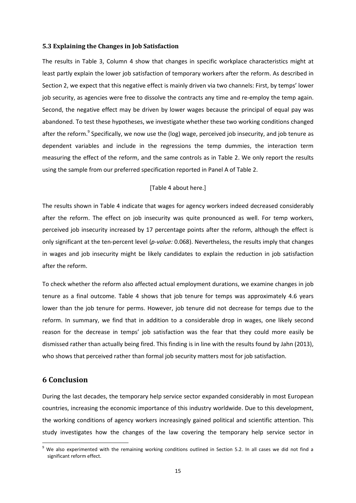#### **5.3 Explaining the Changes in Job Satisfaction**

The results in Table 3, Column 4 show that changes in specific workplace characteristics might at least partly explain the lower job satisfaction of temporary workers after the reform. As described in Section 2, we expect that this negative effect is mainly driven via two channels: First, by temps' lower job security, as agencies were free to dissolve the contracts any time and re-employ the temp again. Second, the negative effect may be driven by lower wages because the principal of equal pay was abandoned. To test these hypotheses, we investigate whether these two working conditions changed after the reform.<sup>9</sup> Specifically, we now use the (log) wage, perceived job insecurity, and job tenure as dependent variables and include in the regressions the temp dummies, the interaction term measuring the effect of the reform, and the same controls as in Table 2. We only report the results using the sample from our preferred specification reported in Panel A of Table 2.

#### [Table 4 about here.]

The results shown in Table 4 indicate that wages for agency workers indeed decreased considerably after the reform. The effect on job insecurity was quite pronounced as well. For temp workers, perceived job insecurity increased by 17 percentage points after the reform, although the effect is only significant at the ten-percent level (*p-value:* 0.068). Nevertheless, the results imply that changes in wages and job insecurity might be likely candidates to explain the reduction in job satisfaction after the reform.

To check whether the reform also affected actual employment durations, we examine changes in job tenure as a final outcome. Table 4 shows that job tenure for temps was approximately 4.6 years lower than the job tenure for perms. However, job tenure did not decrease for temps due to the reform. In summary, we find that in addition to a considerable drop in wages, one likely second reason for the decrease in temps' job satisfaction was the fear that they could more easily be dismissed rather than actually being fired. This finding is in line with the results found by Jahn (2013), who shows that perceived rather than formal job security matters most for job satisfaction.

#### **6 Conclusion**

1

During the last decades, the temporary help service sector expanded considerably in most European countries, increasing the economic importance of this industry worldwide. Due to this development, the working conditions of agency workers increasingly gained political and scientific attention. This study investigates how the changes of the law covering the temporary help service sector in

 $9$  We also experimented with the remaining working conditions outlined in Section 5.2. In all cases we did not find a significant reform effect.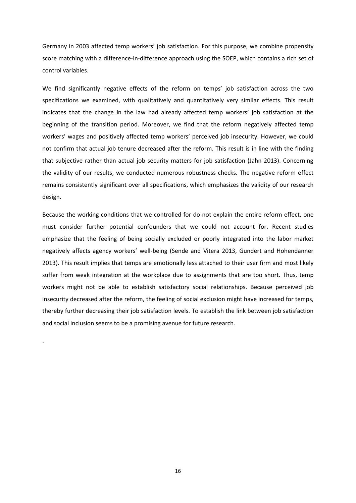Germany in 2003 affected temp workers' job satisfaction. For this purpose, we combine propensity score matching with a difference-in-difference approach using the SOEP, which contains a rich set of control variables.

We find significantly negative effects of the reform on temps' job satisfaction across the two specifications we examined, with qualitatively and quantitatively very similar effects. This result indicates that the change in the law had already affected temp workers' job satisfaction at the beginning of the transition period. Moreover, we find that the reform negatively affected temp workers' wages and positively affected temp workers' perceived job insecurity. However, we could not confirm that actual job tenure decreased after the reform. This result is in line with the finding that subjective rather than actual job security matters for job satisfaction (Jahn 2013). Concerning the validity of our results, we conducted numerous robustness checks. The negative reform effect remains consistently significant over all specifications, which emphasizes the validity of our research design.

Because the working conditions that we controlled for do not explain the entire reform effect, one must consider further potential confounders that we could not account for. Recent studies emphasize that the feeling of being socially excluded or poorly integrated into the labor market negatively affects agency workers' well-being (Sende and Vitera 2013, Gundert and Hohendanner 2013). This result implies that temps are emotionally less attached to their user firm and most likely suffer from weak integration at the workplace due to assignments that are too short. Thus, temp workers might not be able to establish satisfactory social relationships. Because perceived job insecurity decreased after the reform, the feeling of social exclusion might have increased for temps, thereby further decreasing their job satisfaction levels. To establish the link between job satisfaction and social inclusion seems to be a promising avenue for future research.

.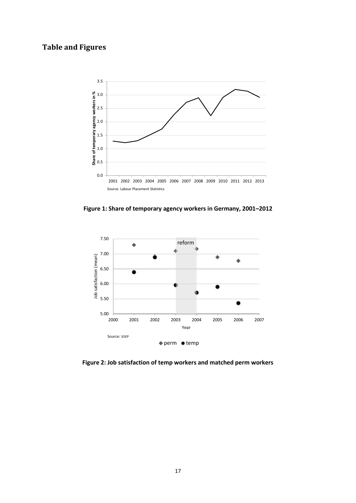# **Table and Figures**



**Figure 1: Share of temporary agency workers in Germany, 2001–2012**



**Figure 2: Job satisfaction of temp workers and matched perm workers**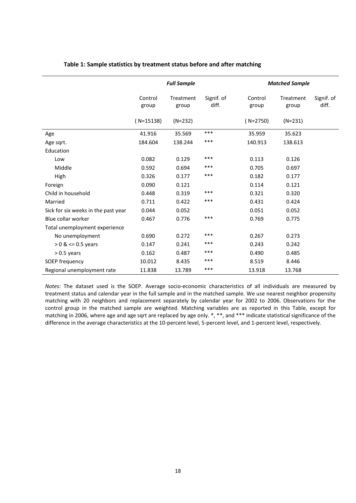|                                     | <b>Full Sample</b> |                    |                     | <b>Matched Sample</b> |                    |                     |  |
|-------------------------------------|--------------------|--------------------|---------------------|-----------------------|--------------------|---------------------|--|
|                                     | Control<br>group   | Treatment<br>group | Signif. of<br>diff. | Control<br>group      | Treatment<br>group | Signif. of<br>diff. |  |
|                                     | $(N=15138)$        | $(N=232)$          |                     | $(N=2750)$            | $(N=231)$          |                     |  |
| Age                                 | 41.916             | 35.569             | ***                 | 35.959                | 35.623             |                     |  |
| Age sqrt.                           | 184.604            | 138.244            | ***                 | 140.913               | 138.613            |                     |  |
| Education                           |                    |                    |                     |                       |                    |                     |  |
| Low                                 | 0.082              | 0.129              | ***                 | 0.113                 | 0.126              |                     |  |
| Middle                              | 0.592              | 0.694              | ***                 | 0.705                 | 0.697              |                     |  |
| High                                | 0.326              | 0.177              | ***                 | 0.182                 | 0.177              |                     |  |
| Foreign                             | 0.090              | 0.121              |                     | 0.114                 | 0.121              |                     |  |
| Child in household                  | 0.448              | 0.319              | ***                 | 0.321                 | 0.320              |                     |  |
| Married                             | 0.711              | 0.422              | ***                 | 0.431                 | 0.424              |                     |  |
| Sick for six weeks in the past year | 0.044              | 0.052              |                     | 0.051                 | 0.052              |                     |  |
| Blue collar worker                  | 0.467              | 0.776              | ***                 | 0.769                 | 0.775              |                     |  |
| Total unemployment experience       |                    |                    |                     |                       |                    |                     |  |
| No unemployment                     | 0.690              | 0.272              | ***                 | 0.267                 | 0.273              |                     |  |
| $> 0$ & <= 0.5 years                | 0.147              | 0.241              | ***                 | 0.243                 | 0.242              |                     |  |
| $> 0.5$ years                       | 0.162              | 0.487              | ***                 | 0.490                 | 0.485              |                     |  |
| SOEP frequency                      | 10.012             | 8.435              | ***                 | 8.519                 | 8.446              |                     |  |
| Regional unemployment rate          | 11.838             | 13.789             | ***                 | 13.918                | 13.768             |                     |  |

#### **Table 1: Sample statistics by treatment status before and after matching**

*Notes:* The dataset used is the SOEP. Average socio-economic characteristics of all individuals are measured by treatment status and calendar year in the full sample and in the matched sample. We use nearest neighbor propensity matching with 20 neighbors and replacement separately by calendar year for 2002 to 2006. Observations for the control group in the matched sample are weighted. Matching variables are as reported in this Table, except for matching in 2006, where age and age sqrt are replaced by age only. \*, \*\*, and \*\*\* indicate statistical significance of the difference in the average characteristics at the 10-percent level, 5-percent level, and 1-percent level, respectively.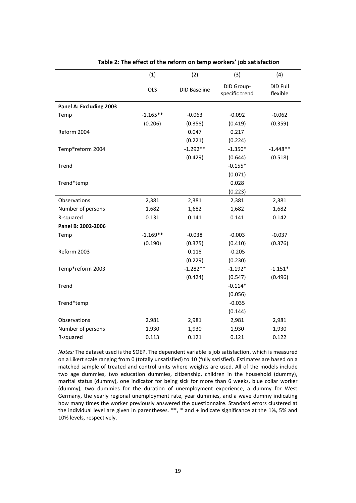|                         | (1)        | (2)                 | (3)                          | (4)                  |
|-------------------------|------------|---------------------|------------------------------|----------------------|
|                         | OLS        | <b>DID Baseline</b> | DID Group-<br>specific trend | DID Full<br>flexible |
| Panel A: Excluding 2003 |            |                     |                              |                      |
| Temp                    | $-1.165**$ | $-0.063$            | $-0.092$                     | $-0.062$             |
|                         | (0.206)    | (0.358)             | (0.419)                      | (0.359)              |
| Reform 2004             |            | 0.047               | 0.217                        |                      |
|                         |            | (0.221)             | (0.224)                      |                      |
| Temp*reform 2004        |            | $-1.292**$          | $-1.350*$                    | $-1.448**$           |
|                         |            | (0.429)             | (0.644)                      | (0.518)              |
| Trend                   |            |                     | $-0.155*$                    |                      |
|                         |            |                     | (0.071)                      |                      |
| Trend*temp              |            |                     | 0.028                        |                      |
|                         |            |                     | (0.223)                      |                      |
| Observations            | 2,381      | 2,381               | 2,381                        | 2,381                |
| Number of persons       | 1,682      | 1,682               | 1,682                        | 1,682                |
| R-squared               | 0.131      | 0.141               | 0.141                        | 0.142                |
| Panel B: 2002-2006      |            |                     |                              |                      |
| Temp                    | $-1.169**$ | $-0.038$            | $-0.003$                     | $-0.037$             |
|                         | (0.190)    | (0.375)             | (0.410)                      | (0.376)              |
| Reform 2003             |            | 0.118               | $-0.205$                     |                      |
|                         |            | (0.229)             | (0.230)                      |                      |
| Temp*reform 2003        |            | $-1.282**$          | $-1.192*$                    | $-1.151*$            |
|                         |            | (0.424)             | (0.547)                      | (0.496)              |
| Trend                   |            |                     | $-0.114*$                    |                      |
|                         |            |                     | (0.056)                      |                      |
| Trend*temp              |            |                     | $-0.035$                     |                      |
|                         |            |                     | (0.144)                      |                      |
| Observations            | 2,981      | 2,981               | 2,981                        | 2,981                |
| Number of persons       | 1,930      | 1,930               | 1,930                        | 1,930                |
| R-squared               | 0.113      | 0.121               | 0.121                        | 0.122                |

#### **Table 2: The effect of the reform on temp workers' job satisfaction**

*Notes:* The dataset used is the SOEP. The dependent variable is job satisfaction, which is measured on a Likert scale ranging from 0 (totally unsatisfied) to 10 (fully satisfied). Estimates are based on a matched sample of treated and control units where weights are used. All of the models include two age dummies, two education dummies, citizenship, children in the household (dummy), marital status (dummy), one indicator for being sick for more than 6 weeks, blue collar worker (dummy), two dummies for the duration of unemployment experience, a dummy for West Germany, the yearly regional unemployment rate, year dummies, and a wave dummy indicating how many times the worker previously answered the questionnaire. Standard errors clustered at the individual level are given in parentheses. \*\*, \* and + indicate significance at the 1%, 5% and 10% levels, respectively.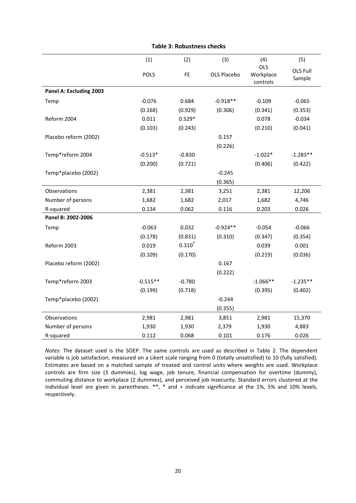|                         | (1)        | (2)         | (3)         | (4)                                 | (5)                |
|-------------------------|------------|-------------|-------------|-------------------------------------|--------------------|
|                         | POLS       | <b>FE</b>   | OLS Placebo | <b>OLS</b><br>Workplace<br>controls | OLS Full<br>Sample |
| Panel A: Excluding 2003 |            |             |             |                                     |                    |
| Temp                    | $-0.076$   | 0.684       | $-0.918**$  | $-0.109$                            | $-0.065$           |
|                         | (0.168)    | (0.929)     | (0.306)     | (0.341)                             | (0.353)            |
| Reform 2004             | 0.011      | $0.529*$    |             | 0.078                               | $-0.034$           |
|                         | (0.103)    | (0.243)     |             | (0.210)                             | (0.041)            |
| Placebo reform (2002)   |            |             | 0.157       |                                     |                    |
|                         |            |             | (0.226)     |                                     |                    |
| Temp*reform 2004        | $-0.513*$  | $-0.830$    |             | $-1.022*$                           | $-1.283**$         |
|                         | (0.200)    | (0.721)     |             | (0.406)                             | (0.422)            |
| Temp*placebo (2002)     |            |             | $-0.245$    |                                     |                    |
|                         |            |             | (0.365)     |                                     |                    |
| Observations            | 2,381      | 2,381       | 3,251       | 2,381                               | 12,206             |
| Number of persons       | 1,682      | 1,682       | 2,017       | 1,682                               | 4,746              |
| R-squared               | 0.134      | 0.062       | 0.116       | 0.203                               | 0.026              |
| Panel B: 2002-2006      |            |             |             |                                     |                    |
| Temp                    | $-0.063$   | 0.032       | $-0.924**$  | $-0.054$                            | $-0.066$           |
|                         | (0.178)    | (0.831)     | (0.310)     | (0.347)                             | (0.354)            |
| Reform 2003             | 0.019      | $0.310^{+}$ |             | 0.039                               | 0.001              |
|                         | (0.109)    | (0.170)     |             | (0.219)                             | (0.036)            |
| Placebo reform (2002)   |            |             | 0.167       |                                     |                    |
|                         |            |             | (0.222)     |                                     |                    |
| Temp*reform 2003        | $-0.515**$ | $-0.780$    |             | $-1.066**$                          | $-1.235**$         |
|                         | (0.199)    | (0.718)     |             | (0.395)                             | (0.402)            |
| Temp*placebo (2002)     |            |             | $-0.244$    |                                     |                    |
|                         |            |             | (0.355)     |                                     |                    |
| Observations            | 2,981      | 2,981       | 3,851       | 2,981                               | 15,370             |
| Number of persons       | 1,930      | 1,930       | 2,379       | 1,930                               | 4,883              |
| R-squared               | 0.112      | 0.068       | 0.101       | 0.176                               | 0.026              |

#### **Table 3: Robustness checks**

*Notes:* The dataset used is the SOEP. The same controls are used as described in Table 2. The dependent variable is job satisfaction, measured on a Likert scale ranging from 0 (totally unsatisfied) to 10 (fully satisfied). Estimates are based on a matched sample of treated and control units where weights are used. Workplace controls are firm size (3 dummies), log wage, job tenure, financial compensation for overtime (dummy), commuting distance to workplace (2 dummies), and perceived job insecurity. Standard errors clustered at the individual level are given in parentheses. \*\*, \* and + indicate significance at the 1%, 5% and 10% levels, respectively.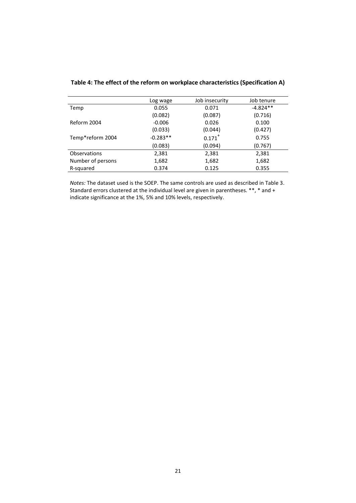|                     | Log wage   | Job insecurity       | Job tenure |
|---------------------|------------|----------------------|------------|
| Temp                | 0.055      | 0.071                | $-4.824**$ |
|                     | (0.082)    | (0.087)              | (0.716)    |
| Reform 2004         | $-0.006$   | 0.026                | 0.100      |
|                     | (0.033)    | (0.044)              | (0.427)    |
| Temp*reform 2004    | $-0.283**$ | $0.171$ <sup>+</sup> | 0.755      |
|                     | (0.083)    | (0.094)              | (0.767)    |
| <b>Observations</b> | 2,381      | 2,381                | 2,381      |
| Number of persons   | 1,682      | 1,682                | 1,682      |
| R-squared           | 0.374      | 0.125                | 0.355      |
|                     |            |                      |            |

#### **Table 4: The effect of the reform on workplace characteristics (Specification A)**

*Notes:* The dataset used is the SOEP. The same controls are used as described in Table 3. Standard errors clustered at the individual level are given in parentheses. \*\*, \* and + indicate significance at the 1%, 5% and 10% levels, respectively.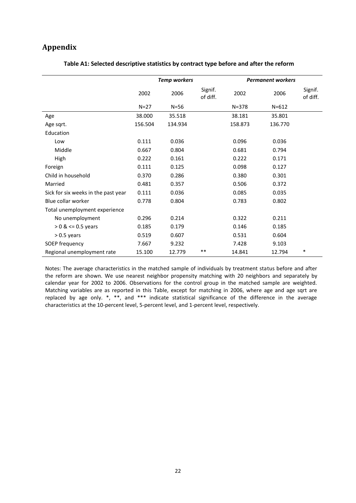### **Appendix**

|                                     | <b>Temp workers</b> |          |                     | <b>Permanent workers</b> |           |                     |
|-------------------------------------|---------------------|----------|---------------------|--------------------------|-----------|---------------------|
|                                     | 2002                | 2006     | Signif.<br>of diff. | 2002                     | 2006      | Signif.<br>of diff. |
|                                     | $N=27$              | $N = 56$ |                     | $N = 378$                | $N = 612$ |                     |
| Age                                 | 38.000              | 35.518   |                     | 38.181                   | 35.801    |                     |
| Age sqrt.                           | 156.504             | 134.934  |                     | 158.873                  | 136.770   |                     |
| Education                           |                     |          |                     |                          |           |                     |
| Low                                 | 0.111               | 0.036    |                     | 0.096                    | 0.036     |                     |
| Middle                              | 0.667               | 0.804    |                     | 0.681                    | 0.794     |                     |
| High                                | 0.222               | 0.161    |                     | 0.222                    | 0.171     |                     |
| Foreign                             | 0.111               | 0.125    |                     | 0.098                    | 0.127     |                     |
| Child in household                  | 0.370               | 0.286    |                     | 0.380                    | 0.301     |                     |
| Married                             | 0.481               | 0.357    |                     | 0.506                    | 0.372     |                     |
| Sick for six weeks in the past year | 0.111               | 0.036    |                     | 0.085                    | 0.035     |                     |
| Blue collar worker                  | 0.778               | 0.804    |                     | 0.783                    | 0.802     |                     |
| Total unemployment experience       |                     |          |                     |                          |           |                     |
| No unemployment                     | 0.296               | 0.214    |                     | 0.322                    | 0.211     |                     |
| $> 0$ & $\le$ 0.5 years             | 0.185               | 0.179    |                     | 0.146                    | 0.185     |                     |
| $> 0.5$ years                       | 0.519               | 0.607    |                     | 0.531                    | 0.604     |                     |
| SOEP frequency                      | 7.667               | 9.232    |                     | 7.428                    | 9.103     |                     |
| Regional unemployment rate          | 15.100              | 12.779   | $***$               | 14.841                   | 12.794    | $\ast$              |

#### **Table A1: Selected descriptive statistics by contract type before and after the reform**

Notes: The average characteristics in the matched sample of individuals by treatment status before and after the reform are shown. We use nearest neighbor propensity matching with 20 neighbors and separately by calendar year for 2002 to 2006. Observations for the control group in the matched sample are weighted. Matching variables are as reported in this Table, except for matching in 2006, where age and age sqrt are replaced by age only. \*, \*\*, and \*\*\* indicate statistical significance of the difference in the average characteristics at the 10-percent level, 5-percent level, and 1-percent level, respectively.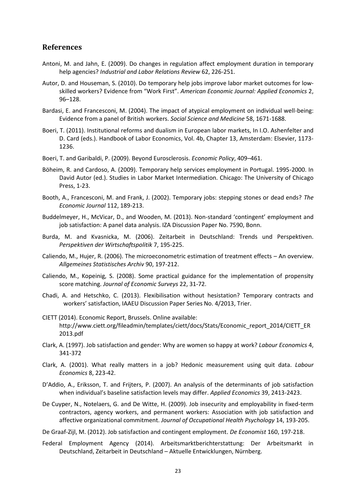#### **References**

- Antoni, M. and Jahn, E. (2009). Do changes in regulation affect employment duration in temporary help agencies? *Industrial and Labor Relations Review* 62, 226-251.
- Autor, D. and Houseman, S. (2010). Do temporary help jobs improve labor market outcomes for lowskilled workers? Evidence from "Work First". *American Economic Journal: Applied Economics* 2, 96–128.
- Bardasi, E. and Francesconi, M. (2004). The impact of atypical employment on individual well-being: Evidence from a panel of British workers. *Social Science and Medicine* 58, 1671-1688.
- Boeri, T. (2011). Institutional reforms and dualism in European labor markets, In I.O. Ashenfelter and D. Card (eds.). Handbook of Labor Economics, Vol. 4b, Chapter 13, Amsterdam: Elsevier, 1173- 1236.
- Boeri, T. and Garibaldi, P. (2009). Beyond Eurosclerosis. *Economic Policy*, 409–461.
- Böheim, R. and Cardoso, A. (2009). Temporary help services employment in Portugal. 1995-2000. In David Autor (ed.). Studies in Labor Market Intermediation. Chicago: The University of Chicago Press, 1-23.
- Booth, A., Francesconi, M. and Frank, J. (2002). Temporary jobs: stepping stones or dead ends? *The Economic Journal* 112, 189-213.
- Buddelmeyer, H., McVicar, D., and Wooden, M. (2013). Non-standard 'contingent' employment and job satisfaction: A panel data analysis. IZA Discussion Paper No. 7590, Bonn.
- Burda, M. and Kvasnicka, M. (2006). Zeitarbeit in Deutschland: Trends und Perspektiven. *Perspektiven der Wirtschaftspolitik* 7, 195-225.
- Caliendo, M., Hujer, R. (2006). The microeconometric estimation of treatment effects An overview. *Allgemeines Statistisches Archiv* 90, 197-212.
- Caliendo, M., Kopeinig, S. (2008). Some practical guidance for the implementation of propensity score matching. *Journal of Economic Surveys* 22, 31-72.
- Chadi, A. and Hetschko, C. (2013). Flexibilisation without hesistation? Temporary contracts and workers' satisfaction, IAAEU Discussion Paper Series No. 4/2013, Trier.
- CIETT (2014). Economic Report, Brussels. Online available: http://www.ciett.org/fileadmin/templates/ciett/docs/Stats/Economic\_report\_2014/CIETT\_ER 2013.pdf
- Clark, A. (1997). Job satisfaction and gender: Why are women so happy at work? *Labour Economics* 4, 341-372
- Clark, A. (2001). What really matters in a job? Hedonic measurement using quit data. *Labour Economics* 8, 223-42.
- D'Addio, A., Eriksson, T. and Frijters, P. (2007). An analysis of the determinants of job satisfaction when individual's baseline satisfaction levels may differ. *Applied Economics* 39, 2413-2423.
- De Cuyper, N., Notelaers, G. and De Witte, H. (2009). Job insecurity and employability in fixed-term contractors, agency workers, and permanent workers: Association with job satisfaction and affective organizational commitment. *Journal of Occupational Health Psychology* 14, 193-205.

De Graaf-Zijl, M. (2012). Job satisfaction and contingent employment. *De Economist* 160, 197-218.

Federal Employment Agency (2014). Arbeitsmarktberichterstattung: Der Arbeitsmarkt in Deutschland, Zeitarbeit in Deutschland – Aktuelle Entwicklungen, Nürnberg.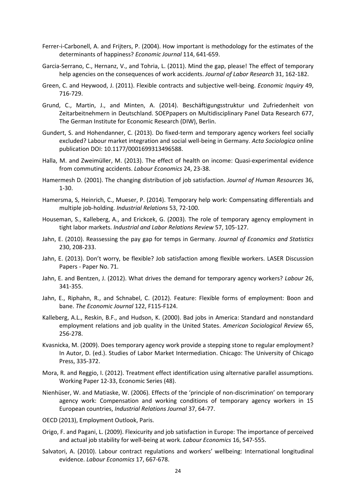- Ferrer-i-Carbonell, A. and Frijters, P. (2004). How important is methodology for the estimates of the determinants of happiness? *Economic Journal* 114, 641-659.
- Garcia-Serrano, C., Hernanz, V., and Tohria, L. (2011). Mind the gap, please! The effect of temporary help agencies on the consequences of work accidents. *Journal of Labor Research* 31, 162-182.
- Green, C. and Heywood, J. (2011). Flexible contracts and subjective well-being. *Economic Inquiry* 49, 716-729.
- Grund, C., Martin, J., and Minten, A. (2014). Beschäftigungsstruktur und Zufriedenheit von Zeitarbeitnehmern in Deutschland. SOEPpapers on Multidisciplinary Panel Data Research 677, The German Institute for Economic Research (DIW), Berlin.
- Gundert, S. and Hohendanner, C. (2013). Do fixed-term and temporary agency workers feel socially excluded? Labour market integration and social well-being in Germany. *Acta Sociologica* online publication DOI: 10.1177/0001699313496588.
- Halla, M. and Zweimüller, M. (2013). The effect of health on income: Quasi-experimental evidence from commuting accidents. *Labour Economics* 24, 23-38.
- Hamermesh D. (2001). The changing distribution of job satisfaction. *Journal of Human Resources* 36, 1-30.
- Hamersma, S, Heinrich, C., Mueser, P. (2014). Temporary help work: Compensating differentials and multiple job-holding. *Industrial Relations* 53, 72-100.
- Houseman, S., Kalleberg, A., and Erickcek, G. (2003). The role of temporary agency employment in tight labor markets. *Industrial and Labor Relations Review* 57, 105-127.
- Jahn, E. (2010). Reassessing the pay gap for temps in Germany. *Journal of Economics and Statistics* 230, 208-233.
- Jahn, E. (2013). Don't worry, be flexible? Job satisfaction among flexible workers. LASER Discussion Papers - Paper No. 71.
- Jahn, E. and Bentzen, J. (2012). What drives the demand for temporary agency workers? *Labour* 26, 341-355.
- Jahn, E., Riphahn, R., and Schnabel, C. (2012). Feature: Flexible forms of employment: Boon and bane. *The Economic Journal* 122, F115-F124.
- Kalleberg, A.L., Reskin, B.F., and Hudson, K. (2000). Bad jobs in America: Standard and nonstandard employment relations and job quality in the United States. *American Sociological Review* 65, 256-278.
- Kvasnicka, M. (2009). Does temporary agency work provide a stepping stone to regular employment? In Autor, D. (ed.). Studies of Labor Market Intermediation. Chicago: The University of Chicago Press, 335-372.
- Mora, R. and Reggio, I. (2012). Treatment effect identification using alternative parallel assumptions. Working Paper 12-33, Economic Series (48).
- Nienhüser, W. and Matiaske, W. (2006). Effects of the 'principle of non-discrimination' on temporary agency work: Compensation and working conditions of temporary agency workers in 15 European countries, *Industrial Relations Journal* 37, 64-77.
- OECD (2013), Employment Outlook, Paris.
- Origo, F. and Pagani, L. (2009). Flexicurity and job satisfaction in Europe: The importance of perceived and actual job stability for well-being at work. *Labour Economics* 16, 547-555.
- Salvatori, A. (2010). Labour contract regulations and workers' wellbeing: International longitudinal evidence. *Labour Economics* 17, 667-678.